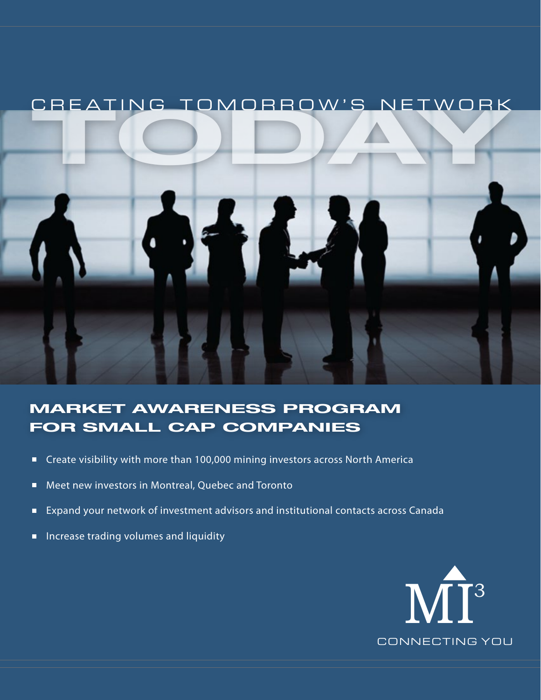

## **MARKET AWARENESS PROGRAM FOR SMALL CAP COMPANIES**

- Create visibility with more than 100,000 mining investors across North America  $\Box$
- Meet new investors in Montreal, Quebec and Toronto  $\Box$
- Expand your network of investment advisors and institutional contacts across Canada  $\Box$
- Increase trading volumes and liquidityΠ

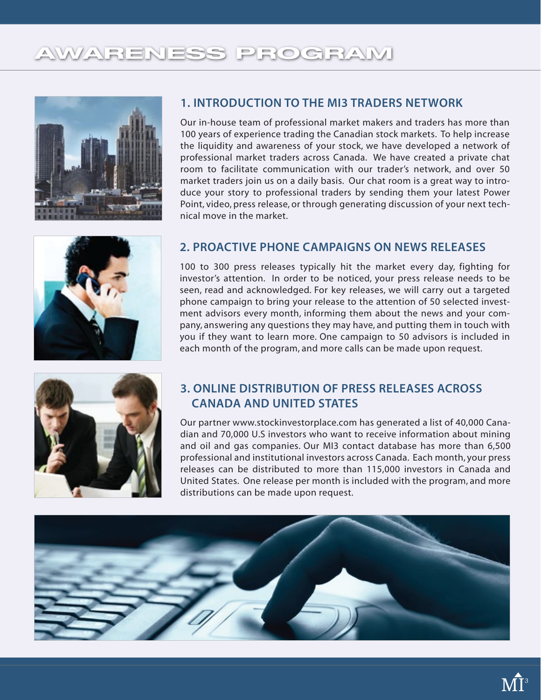# **AWARENESS PROGRAM**





#### **1. INTRODUCTION TO THE MI3 TRADERS NETWORK**

Our in-house team of professional market makers and traders has more than 100 years of experience trading the Canadian stock markets. To help increase the liquidity and awareness of your stock, we have developed a network of professional market traders across Canada. We have created a private chat room to facilitate communication with our trader's network, and over 50 market traders join us on a daily basis. Our chat room is a great way to introduce your story to professional traders by sending them your latest Power Point, video, press release, or through generating discussion of your next technical move in the market.

#### **2. PROACTIVE PHONE CAMPAIGNS ON NEWS RELEASES**

100 to 300 press releases typically hit the market every day, fighting for investor's attention. In order to be noticed, your press release needs to be seen, read and acknowledged. For key releases, we will carry out a targeted phone campaign to bring your release to the attention of 50 selected investment advisors every month, informing them about the news and your company, answering any questions they may have, and putting them in touch with you if they want to learn more. One campaign to 50 advisors is included in each month of the program, and more calls can be made upon request.



#### **3. ONLINE DISTRIBUTION OF PRESS RELEASES ACROSS CANADA AND UNITED STATES**

Our partner www.stockinvestorplace.com has generated a list of 40,000 Canadian and 70,000 U.S investors who want to receive information about mining and oil and gas companies. Our MI3 contact database has more than 6,500 professional and institutional investors across Canada. Each month, your press releases can be distributed to more than 115,000 investors in Canada and United States. One release per month is included with the program, and more distributions can be made upon request.

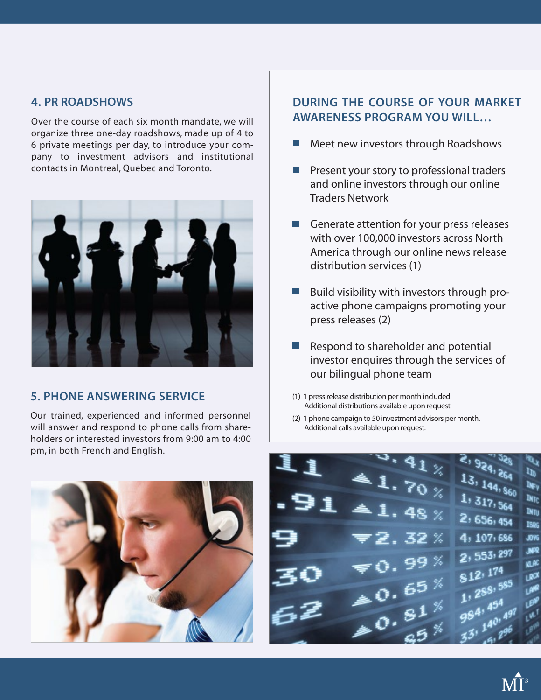#### **4. PR ROADSHOWS**

Over the course of each six month mandate, we will organize three one-day roadshows, made up of 4 to 6 private meetings per day, to introduce your company to investment advisors and institutional contacts in Montreal, Quebec and Toronto.



#### **5. PHONE ANSWERING SERVICE**

Our trained, experienced and informed personnel will answer and respond to phone calls from shareholders or interested investors from 9:00 am to 4:00 pm, in both French and English.



#### **DURING THE COURSE OF YOUR MARKET AWARENESS PROGRAM YOU WILL…**

- Meet new investors through Roadshows  $\mathcal{C}^{\mathcal{A}}$
- **Present your story to professional traders** and online investors through our online Traders Network
- Generate attention for your press releases with over 100,000 investors across North America through our online news release distribution services (1)
- Build visibility with investors through proactive phone campaigns promoting your press releases (2)
- $\blacksquare$  Respond to shareholder and potential investor enquires through the services of our bilingual phone team
- (1) 1 press release distribution per month included. Additional distributions available upon request
- (2) 1 phone campaign to 50 investment advisors per month. Additional calls available upon request.

ţP Ìю,  $1, 317, 564$ **INTC INTU** 2, 656, 454 ISR6 4, 107, 686 **JOYG** 2, 553, 297 **JNPR** KLAC 812, 174 LROX  $812^{13}$ <br>1, 288, 585